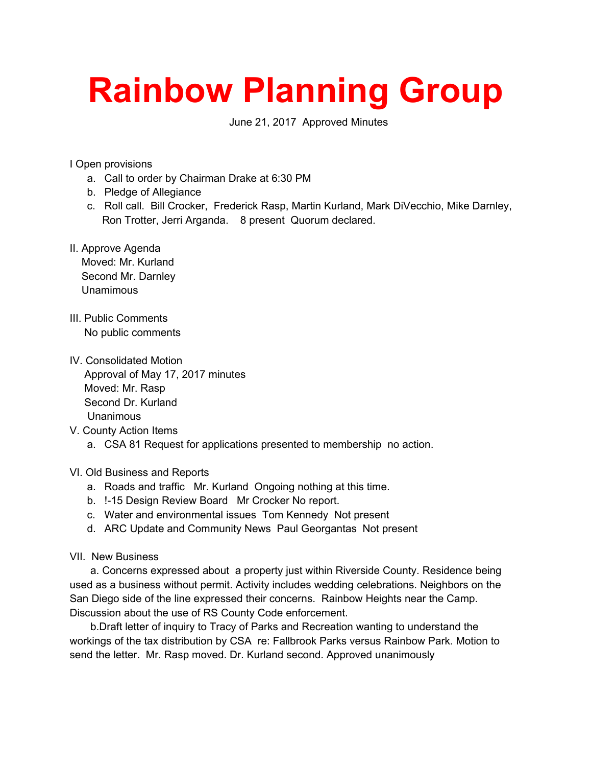## **Rainbow Planning Group**

June 21, 2017 Approved Minutes

I Open provisions

- a. Call to order by Chairman Drake at 6:30 PM
- b. Pledge of Allegiance
- c. Roll call. Bill Crocker, Frederick Rasp, Martin Kurland, Mark DiVecchio, Mike Darnley, Ron Trotter, Jerri Arganda. 8 present Quorum declared.
- II. Approve Agenda

 Moved: Mr. Kurland Second Mr. Darnley Unamimous

- III. Public Comments No public comments
- IV. Consolidated Motion Approval of May 17, 2017 minutes Moved: Mr. Rasp Second Dr. Kurland Unanimous
- V. County Action Items
	- a. CSA 81 Request for applications presented to membership no action.

VI. Old Business and Reports

- a. Roads and traffic Mr. Kurland Ongoing nothing at this time.
- b. !-15 Design Review Board Mr Crocker No report.
- c. Water and environmental issues Tom Kennedy Not present
- d. ARC Update and Community News Paul Georgantas Not present

## VII. New Business

 a. Concerns expressed about a property just within Riverside County. Residence being used as a business without permit. Activity includes wedding celebrations. Neighbors on the San Diego side of the line expressed their concerns. Rainbow Heights near the Camp. Discussion about the use of RS County Code enforcement.

 b.Draft letter of inquiry to Tracy of Parks and Recreation wanting to understand the workings of the tax distribution by CSA re: Fallbrook Parks versus Rainbow Park. Motion to send the letter. Mr. Rasp moved. Dr. Kurland second. Approved unanimously